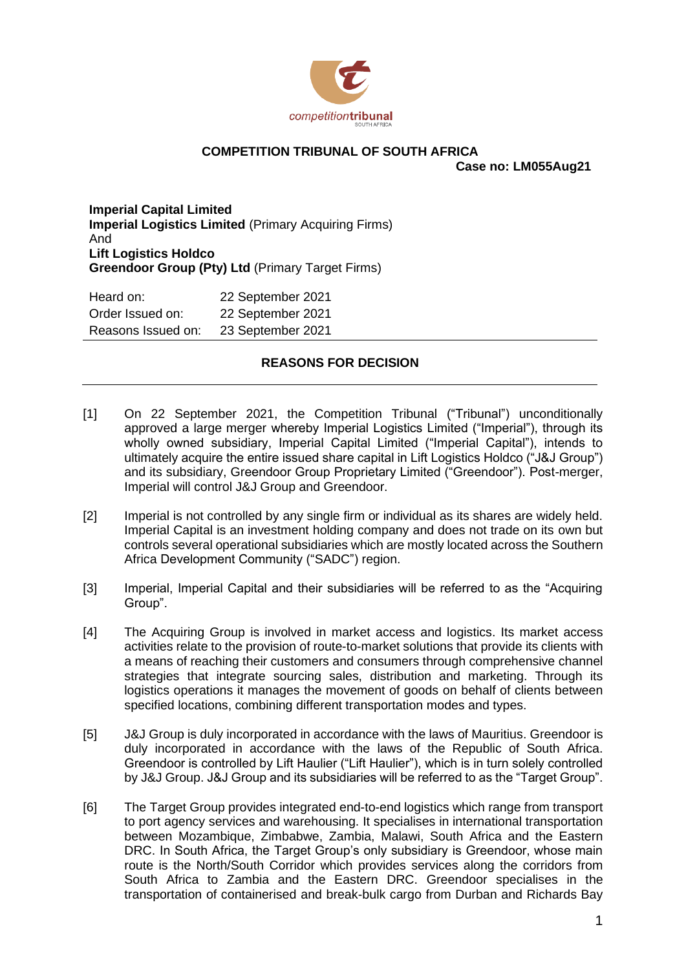

#### **COMPETITION TRIBUNAL OF SOUTH AFRICA**

**Case no: LM055Aug21**

**Imperial Capital Limited Imperial Logistics Limited** (Primary Acquiring Firms) And **Lift Logistics Holdco Greendoor Group (Pty) Ltd** (Primary Target Firms)

| Heard on:          | 22 September 2021 |
|--------------------|-------------------|
| Order Issued on:   | 22 September 2021 |
| Reasons Issued on: | 23 September 2021 |

# **REASONS FOR DECISION**

- [1] On 22 September 2021, the Competition Tribunal ("Tribunal") unconditionally approved a large merger whereby Imperial Logistics Limited ("Imperial"), through its wholly owned subsidiary, Imperial Capital Limited ("Imperial Capital"), intends to ultimately acquire the entire issued share capital in Lift Logistics Holdco ("J&J Group") and its subsidiary, Greendoor Group Proprietary Limited ("Greendoor"). Post-merger, Imperial will control J&J Group and Greendoor.
- [2] Imperial is not controlled by any single firm or individual as its shares are widely held. Imperial Capital is an investment holding company and does not trade on its own but controls several operational subsidiaries which are mostly located across the Southern Africa Development Community ("SADC") region.
- [3] Imperial, Imperial Capital and their subsidiaries will be referred to as the "Acquiring Group".
- [4] The Acquiring Group is involved in market access and logistics. Its market access activities relate to the provision of route-to-market solutions that provide its clients with a means of reaching their customers and consumers through comprehensive channel strategies that integrate sourcing sales, distribution and marketing. Through its logistics operations it manages the movement of goods on behalf of clients between specified locations, combining different transportation modes and types.
- [5] J&J Group is duly incorporated in accordance with the laws of Mauritius. Greendoor is duly incorporated in accordance with the laws of the Republic of South Africa. Greendoor is controlled by Lift Haulier ("Lift Haulier"), which is in turn solely controlled by J&J Group. J&J Group and its subsidiaries will be referred to as the "Target Group".
- [6] The Target Group provides integrated end-to-end logistics which range from transport to port agency services and warehousing. It specialises in international transportation between Mozambique, Zimbabwe, Zambia, Malawi, South Africa and the Eastern DRC. In South Africa, the Target Group's only subsidiary is Greendoor, whose main route is the North/South Corridor which provides services along the corridors from South Africa to Zambia and the Eastern DRC. Greendoor specialises in the transportation of containerised and break-bulk cargo from Durban and Richards Bay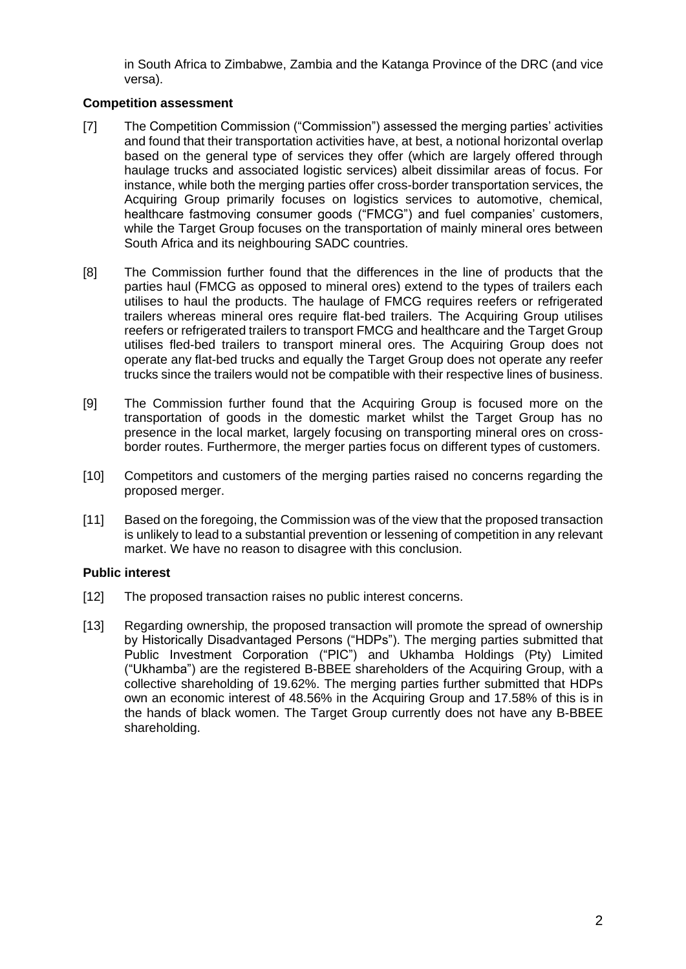in South Africa to Zimbabwe, Zambia and the Katanga Province of the DRC (and vice versa).

#### **Competition assessment**

- [7] The Competition Commission ("Commission") assessed the merging parties' activities and found that their transportation activities have, at best, a notional horizontal overlap based on the general type of services they offer (which are largely offered through haulage trucks and associated logistic services) albeit dissimilar areas of focus. For instance, while both the merging parties offer cross-border transportation services, the Acquiring Group primarily focuses on logistics services to automotive, chemical, healthcare fastmoving consumer goods ("FMCG") and fuel companies' customers, while the Target Group focuses on the transportation of mainly mineral ores between South Africa and its neighbouring SADC countries.
- [8] The Commission further found that the differences in the line of products that the parties haul (FMCG as opposed to mineral ores) extend to the types of trailers each utilises to haul the products. The haulage of FMCG requires reefers or refrigerated trailers whereas mineral ores require flat-bed trailers. The Acquiring Group utilises reefers or refrigerated trailers to transport FMCG and healthcare and the Target Group utilises fled-bed trailers to transport mineral ores. The Acquiring Group does not operate any flat-bed trucks and equally the Target Group does not operate any reefer trucks since the trailers would not be compatible with their respective lines of business.
- [9] The Commission further found that the Acquiring Group is focused more on the transportation of goods in the domestic market whilst the Target Group has no presence in the local market, largely focusing on transporting mineral ores on crossborder routes. Furthermore, the merger parties focus on different types of customers.
- [10] Competitors and customers of the merging parties raised no concerns regarding the proposed merger.
- [11] Based on the foregoing, the Commission was of the view that the proposed transaction is unlikely to lead to a substantial prevention or lessening of competition in any relevant market. We have no reason to disagree with this conclusion.

### **Public interest**

- [12] The proposed transaction raises no public interest concerns.
- [13] Regarding ownership, the proposed transaction will promote the spread of ownership by Historically Disadvantaged Persons ("HDPs"). The merging parties submitted that Public Investment Corporation ("PIC") and Ukhamba Holdings (Pty) Limited ("Ukhamba") are the registered B-BBEE shareholders of the Acquiring Group, with a collective shareholding of 19.62%. The merging parties further submitted that HDPs own an economic interest of 48.56% in the Acquiring Group and 17.58% of this is in the hands of black women. The Target Group currently does not have any B-BBEE shareholding.